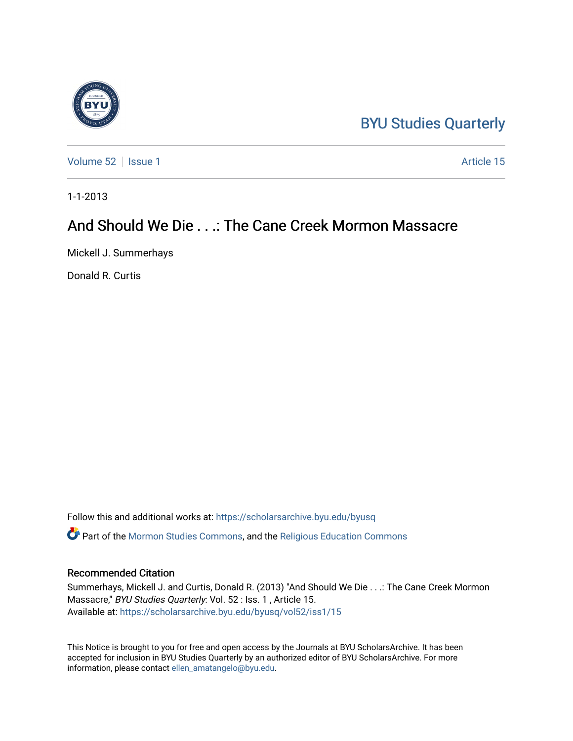## [BYU Studies Quarterly](https://scholarsarchive.byu.edu/byusq)

[Volume 52](https://scholarsarchive.byu.edu/byusq/vol52) | [Issue 1](https://scholarsarchive.byu.edu/byusq/vol52/iss1) Article 15

1-1-2013

## And Should We Die . . .: The Cane Creek Mormon Massacre

Mickell J. Summerhays

Donald R. Curtis

Follow this and additional works at: [https://scholarsarchive.byu.edu/byusq](https://scholarsarchive.byu.edu/byusq?utm_source=scholarsarchive.byu.edu%2Fbyusq%2Fvol52%2Fiss1%2F15&utm_medium=PDF&utm_campaign=PDFCoverPages)  Part of the [Mormon Studies Commons](http://network.bepress.com/hgg/discipline/1360?utm_source=scholarsarchive.byu.edu%2Fbyusq%2Fvol52%2Fiss1%2F15&utm_medium=PDF&utm_campaign=PDFCoverPages), and the [Religious Education Commons](http://network.bepress.com/hgg/discipline/1414?utm_source=scholarsarchive.byu.edu%2Fbyusq%2Fvol52%2Fiss1%2F15&utm_medium=PDF&utm_campaign=PDFCoverPages) 

## Recommended Citation

Summerhays, Mickell J. and Curtis, Donald R. (2013) "And Should We Die . . .: The Cane Creek Mormon Massacre," BYU Studies Quarterly: Vol. 52 : Iss. 1 , Article 15. Available at: [https://scholarsarchive.byu.edu/byusq/vol52/iss1/15](https://scholarsarchive.byu.edu/byusq/vol52/iss1/15?utm_source=scholarsarchive.byu.edu%2Fbyusq%2Fvol52%2Fiss1%2F15&utm_medium=PDF&utm_campaign=PDFCoverPages) 

This Notice is brought to you for free and open access by the Journals at BYU ScholarsArchive. It has been accepted for inclusion in BYU Studies Quarterly by an authorized editor of BYU ScholarsArchive. For more information, please contact [ellen\\_amatangelo@byu.edu.](mailto:ellen_amatangelo@byu.edu)